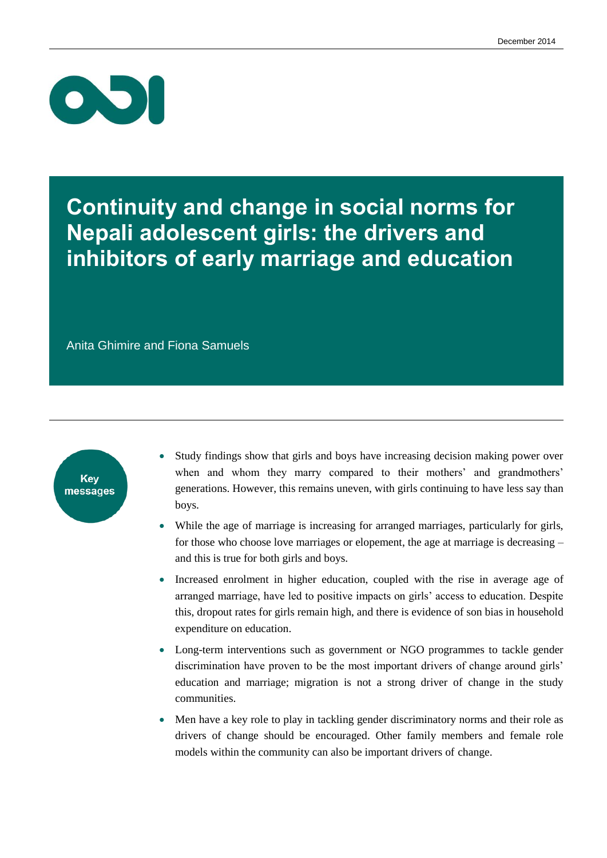

### **Continuity and change in social norms for Nepali adolescent girls: the drivers and inhibitors of early marriage and education**

Anita Ghimire and Fiona Samuels



- Study findings show that girls and boys have increasing decision making power over when and whom they marry compared to their mothers' and grandmothers' generations. However, this remains uneven, with girls continuing to have less say than boys.
- While the age of marriage is increasing for arranged marriages, particularly for girls, for those who choose love marriages or elopement, the age at marriage is decreasing – and this is true for both girls and boys.
- Increased enrolment in higher education, coupled with the rise in average age of arranged marriage, have led to positive impacts on girls' access to education. Despite this, dropout rates for girls remain high, and there is evidence of son bias in household expenditure on education.
- Long-term interventions such as government or NGO programmes to tackle gender discrimination have proven to be the most important drivers of change around girls' education and marriage; migration is not a strong driver of change in the study communities.
- Men have a key role to play in tackling gender discriminatory norms and their role as drivers of change should be encouraged. Other family members and female role models within the community can also be important drivers of change.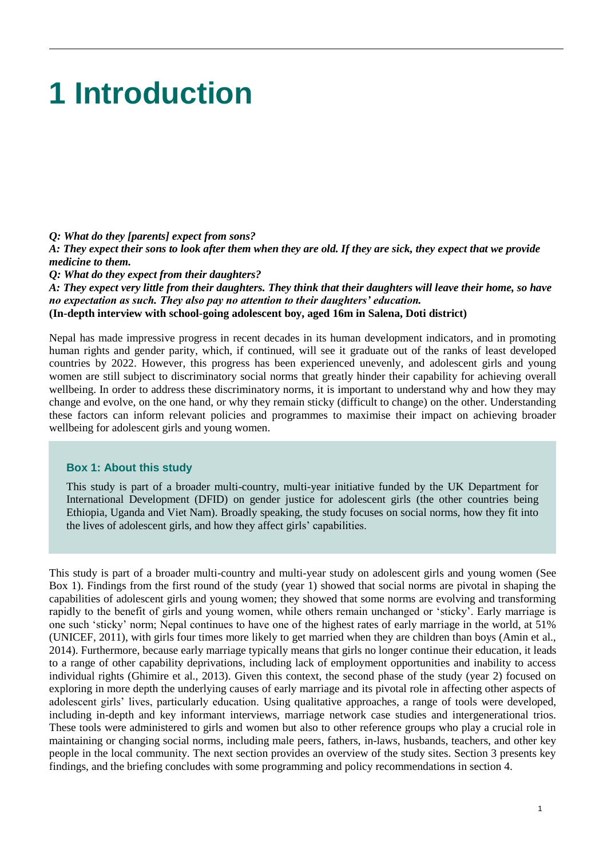## **1 Introduction**

#### *Q: What do they [parents] expect from sons?*

*A: They expect their sons to look after them when they are old. If they are sick, they expect that we provide medicine to them.* 

*Q: What do they expect from their daughters?*

*A: They expect very little from their daughters. They think that their daughters will leave their home, so have no expectation as such. They also pay no attention to their daughters' education.*  **(In-depth interview with school-going adolescent boy, aged 16m in Salena, Doti district)**

Nepal has made impressive progress in recent decades in its human development indicators, and in promoting human rights and gender parity, which, if continued, will see it graduate out of the ranks of least developed countries by 2022. However, this progress has been experienced unevenly, and adolescent girls and young women are still subject to discriminatory social norms that greatly hinder their capability for achieving overall wellbeing. In order to address these discriminatory norms, it is important to understand why and how they may change and evolve, on the one hand, or why they remain sticky (difficult to change) on the other. Understanding these factors can inform relevant policies and programmes to maximise their impact on achieving broader wellbeing for adolescent girls and young women.

#### **Box 1: About this study**

This study is part of a broader multi-country, multi-year initiative funded by the UK Department for International Development (DFID) on gender justice for adolescent girls (the other countries being Ethiopia, Uganda and Viet Nam). Broadly speaking, the study focuses on social norms, how they fit into the lives of adolescent girls, and how they affect girls' capabilities.

This study is part of a broader multi-country and multi-year study on adolescent girls and young women (See Box 1). Findings from the first round of the study (year 1) showed that social norms are pivotal in shaping the capabilities of adolescent girls and young women; they showed that some norms are evolving and transforming rapidly to the benefit of girls and young women, while others remain unchanged or 'sticky'. Early marriage is one such 'sticky' norm; Nepal continues to have one of the highest rates of early marriage in the world, at 51% (UNICEF, 2011), with girls four times more likely to get married when they are children than boys (Amin et al., 2014). Furthermore, because early marriage typically means that girls no longer continue their education, it leads to a range of other capability deprivations, including lack of employment opportunities and inability to access individual rights (Ghimire et al., 2013). Given this context, the second phase of the study (year 2) focused on exploring in more depth the underlying causes of early marriage and its pivotal role in affecting other aspects of adolescent girls' lives, particularly education. Using qualitative approaches, a range of tools were developed, including in-depth and key informant interviews, marriage network case studies and intergenerational trios. These tools were administered to girls and women but also to other reference groups who play a crucial role in maintaining or changing social norms, including male peers, fathers, in-laws, husbands, teachers, and other key people in the local community. The next section provides an overview of the study sites. Section 3 presents key findings, and the briefing concludes with some programming and policy recommendations in section 4.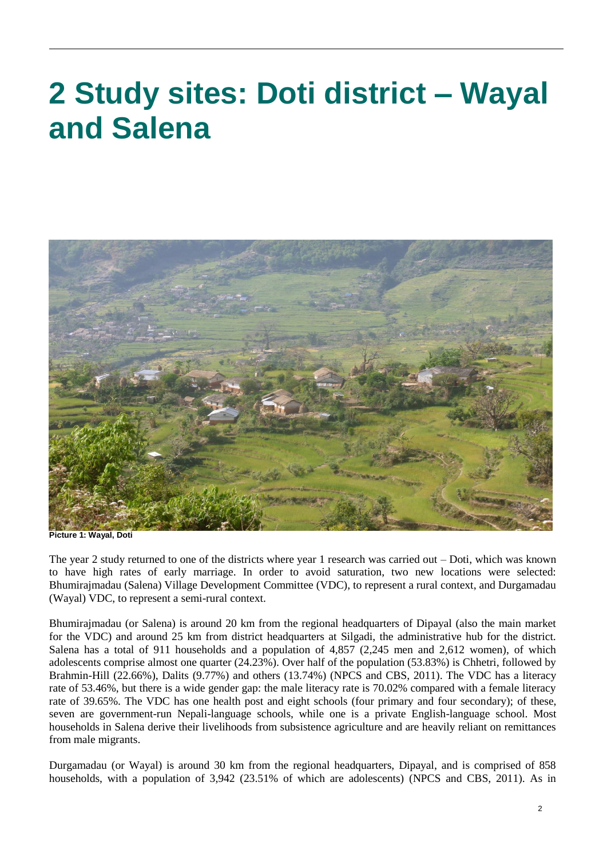# **2 Study sites: Doti district – Wayal and Salena**



**Picture 1: Wayal, Doti**

The year 2 study returned to one of the districts where year 1 research was carried out – Doti, which was known to have high rates of early marriage. In order to avoid saturation, two new locations were selected: Bhumirajmadau (Salena) Village Development Committee (VDC), to represent a rural context, and Durgamadau (Wayal) VDC, to represent a semi-rural context.

Bhumirajmadau (or Salena) is around 20 km from the regional headquarters of Dipayal (also the main market for the VDC) and around 25 km from district headquarters at Silgadi, the administrative hub for the district. Salena has a total of 911 households and a population of 4,857 (2,245 men and 2,612 women), of which adolescents comprise almost one quarter (24.23%). Over half of the population (53.83%) is Chhetri, followed by Brahmin-Hill (22.66%), Dalits (9.77%) and others (13.74%) (NPCS and CBS, 2011). The VDC has a literacy rate of 53.46%, but there is a wide gender gap: the male literacy rate is 70.02% compared with a female literacy rate of 39.65%. The VDC has one health post and eight schools (four primary and four secondary); of these, seven are government-run Nepali-language schools, while one is a private English-language school. Most households in Salena derive their livelihoods from subsistence agriculture and are heavily reliant on remittances from male migrants.

Durgamadau (or Wayal) is around 30 km from the regional headquarters, Dipayal, and is comprised of 858 households, with a population of 3,942 (23.51% of which are adolescents) (NPCS and CBS, 2011). As in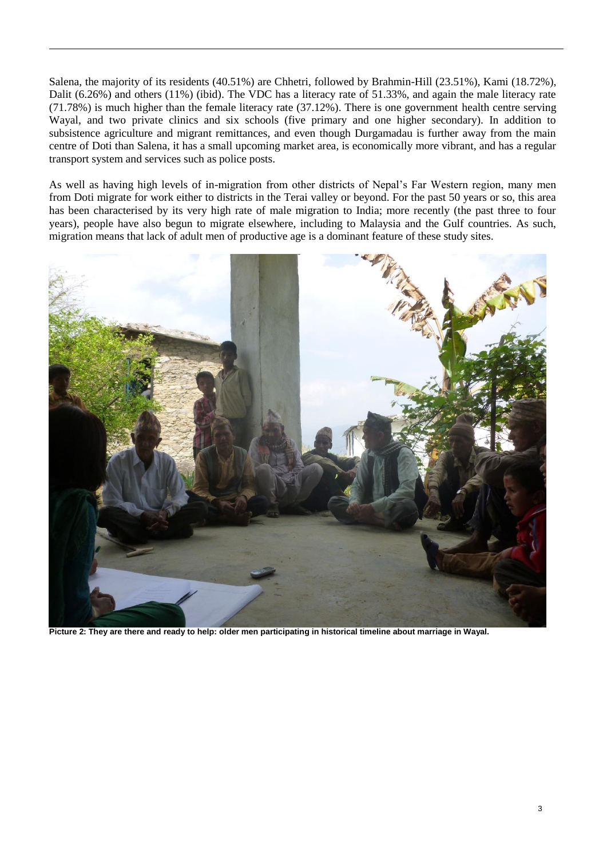Salena, the majority of its residents (40.51%) are Chhetri, followed by Brahmin-Hill (23.51%), Kami (18.72%), Dalit (6.26%) and others (11%) (ibid). The VDC has a literacy rate of 51.33%, and again the male literacy rate (71.78%) is much higher than the female literacy rate (37.12%). There is one government health centre serving Wayal, and two private clinics and six schools (five primary and one higher secondary). In addition to subsistence agriculture and migrant remittances, and even though Durgamadau is further away from the main centre of Doti than Salena, it has a small upcoming market area, is economically more vibrant, and has a regular transport system and services such as police posts.

As well as having high levels of in-migration from other districts of Nepal's Far Western region, many men from Doti migrate for work either to districts in the Terai valley or beyond. For the past 50 years or so, this area has been characterised by its very high rate of male migration to India; more recently (the past three to four years), people have also begun to migrate elsewhere, including to Malaysia and the Gulf countries. As such, migration means that lack of adult men of productive age is a dominant feature of these study sites.



**Picture 2: They are there and ready to help: older men participating in historical timeline about marriage in Wayal.**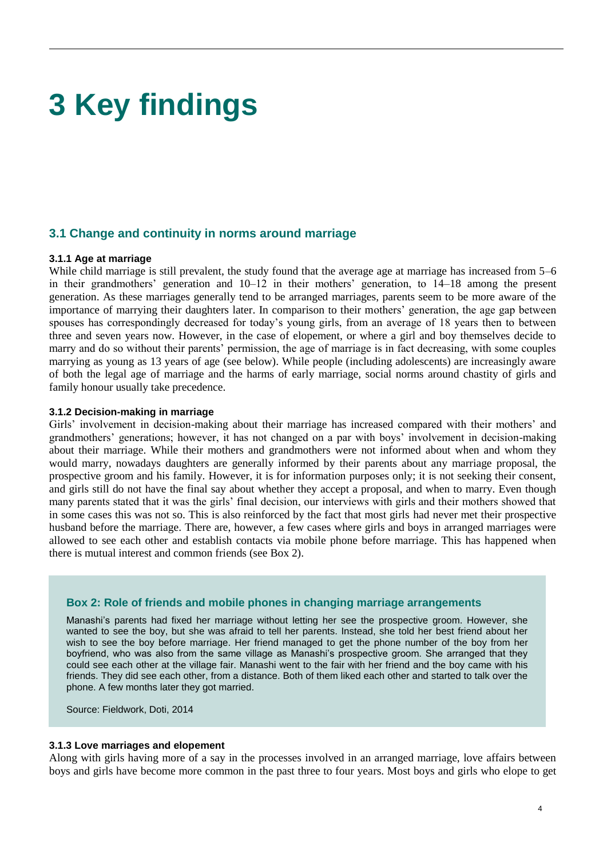# **3 Key findings**

#### **3.1 Change and continuity in norms around marriage**

#### **3.1.1 Age at marriage**

While child marriage is still prevalent, the study found that the average age at marriage has increased from 5–6 in their grandmothers' generation and 10–12 in their mothers' generation, to 14–18 among the present generation. As these marriages generally tend to be arranged marriages, parents seem to be more aware of the importance of marrying their daughters later. In comparison to their mothers' generation, the age gap between spouses has correspondingly decreased for today's young girls, from an average of 18 years then to between three and seven years now. However, in the case of elopement, or where a girl and boy themselves decide to marry and do so without their parents' permission, the age of marriage is in fact decreasing, with some couples marrying as young as 13 years of age (see below). While people (including adolescents) are increasingly aware of both the legal age of marriage and the harms of early marriage, social norms around chastity of girls and family honour usually take precedence.

#### **3.1.2 Decision-making in marriage**

Girls' involvement in decision-making about their marriage has increased compared with their mothers' and grandmothers' generations; however, it has not changed on a par with boys' involvement in decision-making about their marriage. While their mothers and grandmothers were not informed about when and whom they would marry, nowadays daughters are generally informed by their parents about any marriage proposal, the prospective groom and his family. However, it is for information purposes only; it is not seeking their consent, and girls still do not have the final say about whether they accept a proposal, and when to marry. Even though many parents stated that it was the girls' final decision, our interviews with girls and their mothers showed that in some cases this was not so. This is also reinforced by the fact that most girls had never met their prospective husband before the marriage. There are, however, a few cases where girls and boys in arranged marriages were allowed to see each other and establish contacts via mobile phone before marriage. This has happened when there is mutual interest and common friends (see Box 2).

#### **Box 2: Role of friends and mobile phones in changing marriage arrangements**

Manashi's parents had fixed her marriage without letting her see the prospective groom. However, she wanted to see the boy, but she was afraid to tell her parents. Instead, she told her best friend about her wish to see the boy before marriage. Her friend managed to get the phone number of the boy from her boyfriend, who was also from the same village as Manashi's prospective groom. She arranged that they could see each other at the village fair. Manashi went to the fair with her friend and the boy came with his friends. They did see each other, from a distance. Both of them liked each other and started to talk over the phone. A few months later they got married.

Source: Fieldwork, Doti, 2014

#### **3.1.3 Love marriages and elopement**

Along with girls having more of a say in the processes involved in an arranged marriage, love affairs between boys and girls have become more common in the past three to four years. Most boys and girls who elope to get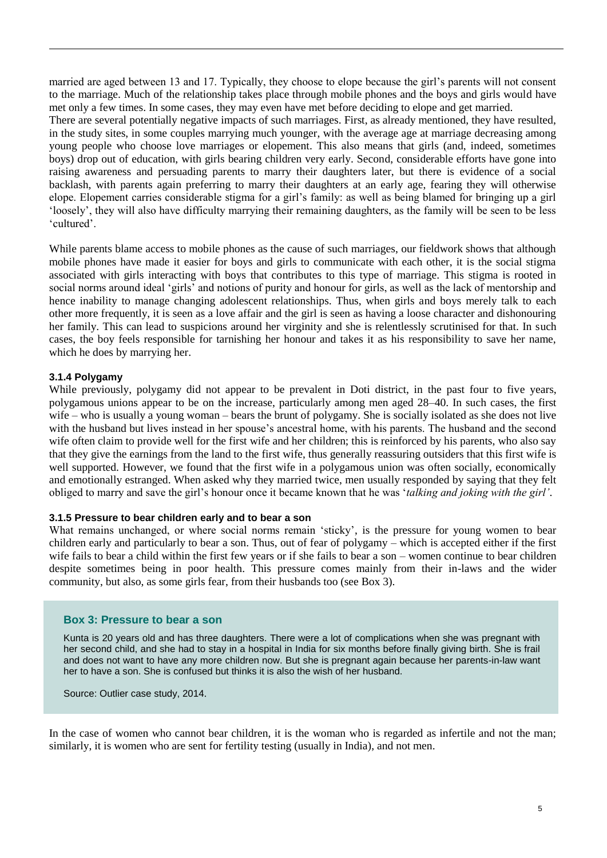married are aged between 13 and 17. Typically, they choose to elope because the girl's parents will not consent to the marriage. Much of the relationship takes place through mobile phones and the boys and girls would have met only a few times. In some cases, they may even have met before deciding to elope and get married. There are several potentially negative impacts of such marriages. First, as already mentioned, they have resulted, in the study sites, in some couples marrying much younger, with the average age at marriage decreasing among young people who choose love marriages or elopement. This also means that girls (and, indeed, sometimes boys) drop out of education, with girls bearing children very early. Second, considerable efforts have gone into raising awareness and persuading parents to marry their daughters later, but there is evidence of a social

backlash, with parents again preferring to marry their daughters at an early age, fearing they will otherwise elope. Elopement carries considerable stigma for a girl's family: as well as being blamed for bringing up a girl 'loosely', they will also have difficulty marrying their remaining daughters, as the family will be seen to be less 'cultured'.

While parents blame access to mobile phones as the cause of such marriages, our fieldwork shows that although mobile phones have made it easier for boys and girls to communicate with each other, it is the social stigma associated with girls interacting with boys that contributes to this type of marriage. This stigma is rooted in social norms around ideal 'girls' and notions of purity and honour for girls, as well as the lack of mentorship and hence inability to manage changing adolescent relationships. Thus, when girls and boys merely talk to each other more frequently, it is seen as a love affair and the girl is seen as having a loose character and dishonouring her family. This can lead to suspicions around her virginity and she is relentlessly scrutinised for that. In such cases, the boy feels responsible for tarnishing her honour and takes it as his responsibility to save her name, which he does by marrying her.

#### **3.1.4 Polygamy**

While previously, polygamy did not appear to be prevalent in Doti district, in the past four to five years, polygamous unions appear to be on the increase, particularly among men aged 28–40. In such cases, the first wife – who is usually a young woman – bears the brunt of polygamy. She is socially isolated as she does not live with the husband but lives instead in her spouse's ancestral home, with his parents. The husband and the second wife often claim to provide well for the first wife and her children; this is reinforced by his parents, who also say that they give the earnings from the land to the first wife, thus generally reassuring outsiders that this first wife is well supported. However, we found that the first wife in a polygamous union was often socially, economically and emotionally estranged. When asked why they married twice, men usually responded by saying that they felt obliged to marry and save the girl's honour once it became known that he was '*talking and joking with the girl'*.

#### **3.1.5 Pressure to bear children early and to bear a son**

What remains unchanged, or where social norms remain 'sticky', is the pressure for young women to bear children early and particularly to bear a son. Thus, out of fear of polygamy – which is accepted either if the first wife fails to bear a child within the first few years or if she fails to bear a son – women continue to bear children despite sometimes being in poor health. This pressure comes mainly from their in-laws and the wider community, but also, as some girls fear, from their husbands too (see Box 3).

#### **Box 3: Pressure to bear a son**

Kunta is 20 years old and has three daughters. There were a lot of complications when she was pregnant with her second child, and she had to stay in a hospital in India for six months before finally giving birth. She is frail and does not want to have any more children now. But she is pregnant again because her parents-in-law want her to have a son. She is confused but thinks it is also the wish of her husband.

Source: Outlier case study, 2014.

In the case of women who cannot bear children, it is the woman who is regarded as infertile and not the man; similarly, it is women who are sent for fertility testing (usually in India), and not men.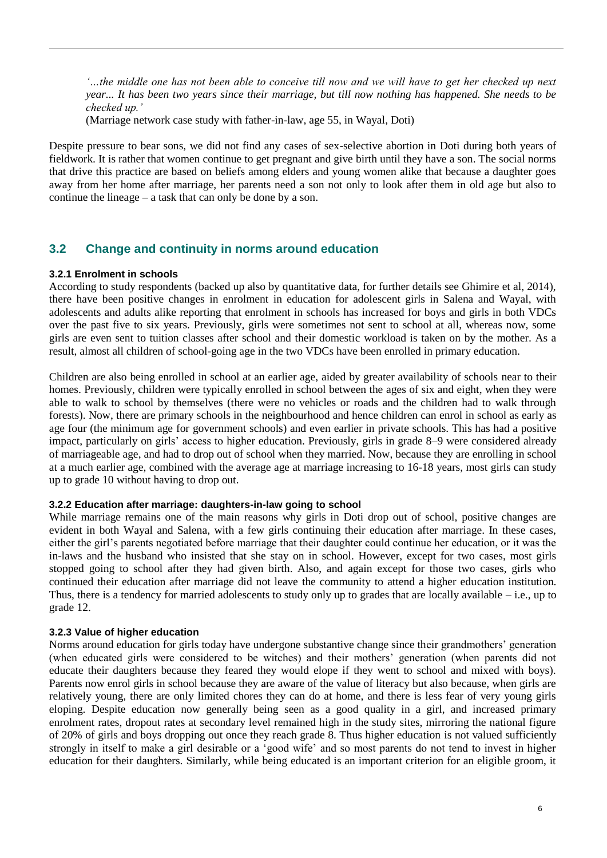*'…the middle one has not been able to conceive till now and we will have to get her checked up next year... It has been two years since their marriage, but till now nothing has happened. She needs to be checked up.'*

(Marriage network case study with father-in-law, age 55, in Wayal, Doti)

Despite pressure to bear sons, we did not find any cases of sex-selective abortion in Doti during both years of fieldwork. It is rather that women continue to get pregnant and give birth until they have a son. The social norms that drive this practice are based on beliefs among elders and young women alike that because a daughter goes away from her home after marriage, her parents need a son not only to look after them in old age but also to continue the lineage – a task that can only be done by a son.

### **3.2 Change and continuity in norms around education**

#### **3.2.1 Enrolment in schools**

According to study respondents (backed up also by quantitative data, for further details see Ghimire et al, 2014), there have been positive changes in enrolment in education for adolescent girls in Salena and Wayal, with adolescents and adults alike reporting that enrolment in schools has increased for boys and girls in both VDCs over the past five to six years. Previously, girls were sometimes not sent to school at all, whereas now, some girls are even sent to tuition classes after school and their domestic workload is taken on by the mother. As a result, almost all children of school-going age in the two VDCs have been enrolled in primary education.

Children are also being enrolled in school at an earlier age, aided by greater availability of schools near to their homes. Previously, children were typically enrolled in school between the ages of six and eight, when they were able to walk to school by themselves (there were no vehicles or roads and the children had to walk through forests). Now, there are primary schools in the neighbourhood and hence children can enrol in school as early as age four (the minimum age for government schools) and even earlier in private schools. This has had a positive impact, particularly on girls' access to higher education. Previously, girls in grade 8–9 were considered already of marriageable age, and had to drop out of school when they married. Now, because they are enrolling in school at a much earlier age, combined with the average age at marriage increasing to 16-18 years, most girls can study up to grade 10 without having to drop out.

#### **3.2.2 Education after marriage: daughters-in-law going to school**

While marriage remains one of the main reasons why girls in Doti drop out of school, positive changes are evident in both Wayal and Salena, with a few girls continuing their education after marriage. In these cases, either the girl's parents negotiated before marriage that their daughter could continue her education, or it was the in-laws and the husband who insisted that she stay on in school. However, except for two cases, most girls stopped going to school after they had given birth. Also, and again except for those two cases, girls who continued their education after marriage did not leave the community to attend a higher education institution. Thus, there is a tendency for married adolescents to study only up to grades that are locally available – i.e., up to grade 12.

#### **3.2.3 Value of higher education**

Norms around education for girls today have undergone substantive change since their grandmothers' generation (when educated girls were considered to be witches) and their mothers' generation (when parents did not educate their daughters because they feared they would elope if they went to school and mixed with boys). Parents now enrol girls in school because they are aware of the value of literacy but also because, when girls are relatively young, there are only limited chores they can do at home, and there is less fear of very young girls eloping. Despite education now generally being seen as a good quality in a girl, and increased primary enrolment rates, dropout rates at secondary level remained high in the study sites, mirroring the national figure of 20% of girls and boys dropping out once they reach grade 8. Thus higher education is not valued sufficiently strongly in itself to make a girl desirable or a 'good wife' and so most parents do not tend to invest in higher education for their daughters. Similarly, while being educated is an important criterion for an eligible groom, it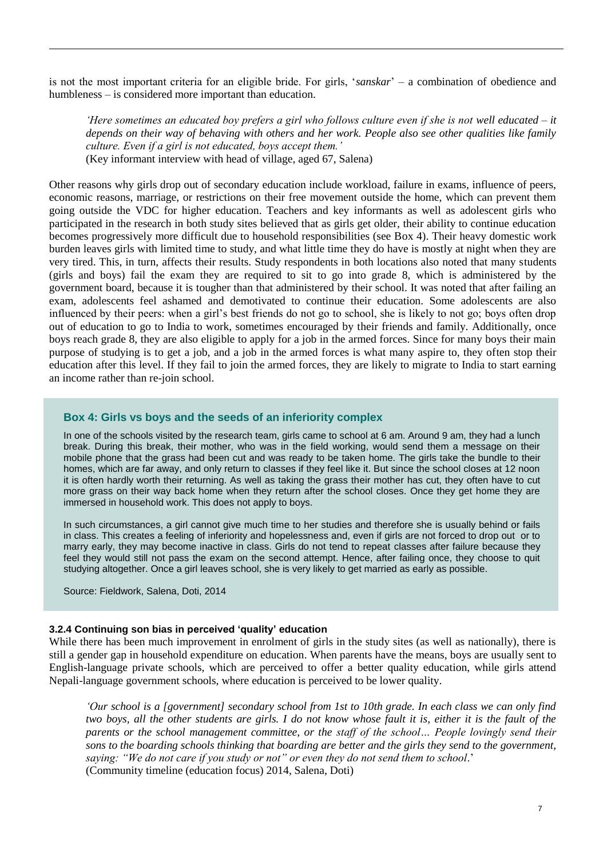is not the most important criteria for an eligible bride. For girls, '*sanskar*' – a combination of obedience and humbleness – is considered more important than education.

*'Here sometimes an educated boy prefers a girl who follows culture even if she is not well educated – it depends on their way of behaving with others and her work. People also see other qualities like family culture. Even if a girl is not educated, boys accept them.'* (Key informant interview with head of village, aged 67, Salena)

Other reasons why girls drop out of secondary education include workload, failure in exams, influence of peers, economic reasons, marriage, or restrictions on their free movement outside the home, which can prevent them going outside the VDC for higher education. Teachers and key informants as well as adolescent girls who participated in the research in both study sites believed that as girls get older, their ability to continue education becomes progressively more difficult due to household responsibilities (see Box 4). Their heavy domestic work burden leaves girls with limited time to study, and what little time they do have is mostly at night when they are very tired. This, in turn, affects their results. Study respondents in both locations also noted that many students (girls and boys) fail the exam they are required to sit to go into grade 8, which is administered by the government board, because it is tougher than that administered by their school. It was noted that after failing an exam, adolescents feel ashamed and demotivated to continue their education. Some adolescents are also influenced by their peers: when a girl's best friends do not go to school, she is likely to not go; boys often drop out of education to go to India to work, sometimes encouraged by their friends and family. Additionally, once boys reach grade 8, they are also eligible to apply for a job in the armed forces. Since for many boys their main purpose of studying is to get a job, and a job in the armed forces is what many aspire to, they often stop their education after this level. If they fail to join the armed forces, they are likely to migrate to India to start earning an income rather than re-join school.

#### **Box 4: Girls vs boys and the seeds of an inferiority complex**

In one of the schools visited by the research team, girls came to school at 6 am. Around 9 am, they had a lunch break. During this break, their mother, who was in the field working, would send them a message on their mobile phone that the grass had been cut and was ready to be taken home. The girls take the bundle to their homes, which are far away, and only return to classes if they feel like it. But since the school closes at 12 noon it is often hardly worth their returning. As well as taking the grass their mother has cut, they often have to cut more grass on their way back home when they return after the school closes. Once they get home they are immersed in household work. This does not apply to boys.

In such circumstances, a girl cannot give much time to her studies and therefore she is usually behind or fails in class. This creates a feeling of inferiority and hopelessness and, even if girls are not forced to drop out or to marry early, they may become inactive in class. Girls do not tend to repeat classes after failure because they feel they would still not pass the exam on the second attempt. Hence, after failing once, they choose to quit studying altogether. Once a girl leaves school, she is very likely to get married as early as possible.

Source: Fieldwork, Salena, Doti, 2014

#### **3.2.4 Continuing son bias in perceived 'quality' education**

While there has been much improvement in enrolment of girls in the study sites (as well as nationally), there is still a gender gap in household expenditure on education. When parents have the means, boys are usually sent to English-language private schools, which are perceived to offer a better quality education, while girls attend Nepali-language government schools, where education is perceived to be lower quality.

*'Our school is a [government] secondary school from 1st to 10th grade. In each class we can only find two boys, all the other students are girls. I do not know whose fault it is, either it is the fault of the parents or the school management committee, or the staff of the school… People lovingly send their sons to the boarding schools thinking that boarding are better and the girls they send to the government, saying: "We do not care if you study or not" or even they do not send them to school*.' (Community timeline (education focus) 2014, Salena, Doti)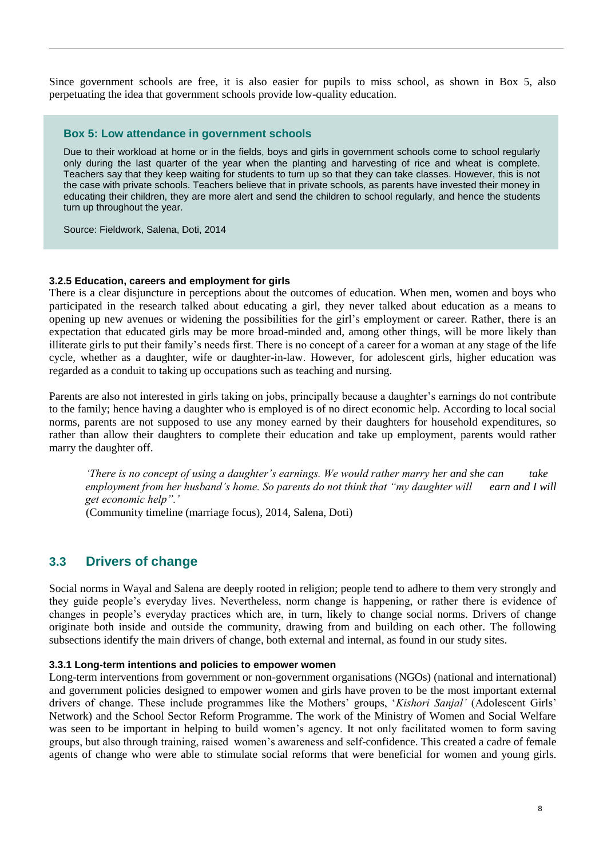Since government schools are free, it is also easier for pupils to miss school, as shown in Box 5, also perpetuating the idea that government schools provide low-quality education.

#### **Box 5: Low attendance in government schools**

Due to their workload at home or in the fields, boys and girls in government schools come to school regularly only during the last quarter of the year when the planting and harvesting of rice and wheat is complete. Teachers say that they keep waiting for students to turn up so that they can take classes. However, this is not the case with private schools. Teachers believe that in private schools, as parents have invested their money in educating their children, they are more alert and send the children to school regularly, and hence the students turn up throughout the year.

Source: Fieldwork, Salena, Doti, 2014

#### **3.2.5 Education, careers and employment for girls**

There is a clear disjuncture in perceptions about the outcomes of education. When men, women and boys who participated in the research talked about educating a girl, they never talked about education as a means to opening up new avenues or widening the possibilities for the girl's employment or career. Rather, there is an expectation that educated girls may be more broad-minded and, among other things, will be more likely than illiterate girls to put their family's needs first. There is no concept of a career for a woman at any stage of the life cycle, whether as a daughter, wife or daughter-in-law. However, for adolescent girls, higher education was regarded as a conduit to taking up occupations such as teaching and nursing.

Parents are also not interested in girls taking on jobs, principally because a daughter's earnings do not contribute to the family; hence having a daughter who is employed is of no direct economic help. According to local social norms, parents are not supposed to use any money earned by their daughters for household expenditures, so rather than allow their daughters to complete their education and take up employment, parents would rather marry the daughter off.

*'There is no concept of using a daughter's earnings. We would rather marry her and she can take employment from her husband's home. So parents do not think that "my daughter will earn and I will get economic help".'*

(Community timeline (marriage focus), 2014, Salena, Doti)

### **3.3 Drivers of change**

Social norms in Wayal and Salena are deeply rooted in religion; people tend to adhere to them very strongly and they guide people's everyday lives. Nevertheless, norm change is happening, or rather there is evidence of changes in people's everyday practices which are, in turn, likely to change social norms. Drivers of change originate both inside and outside the community, drawing from and building on each other. The following subsections identify the main drivers of change, both external and internal, as found in our study sites.

#### **3.3.1 Long-term intentions and policies to empower women**

Long-term interventions from government or non-government organisations (NGOs) (national and international) and government policies designed to empower women and girls have proven to be the most important external drivers of change. These include programmes like the Mothers' groups, '*Kishori Sanjal'* (Adolescent Girls' Network) and the School Sector Reform Programme. The work of the Ministry of Women and Social Welfare was seen to be important in helping to build women's agency. It not only facilitated women to form saving groups, but also through training, raised women's awareness and self-confidence. This created a cadre of female agents of change who were able to stimulate social reforms that were beneficial for women and young girls.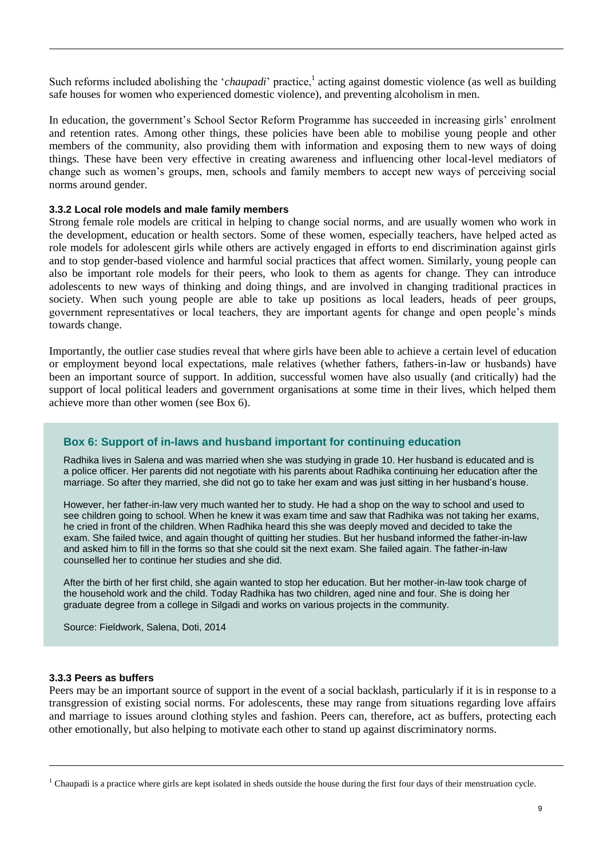Such reforms included abolishing the '*chaupadi*' practice,<sup>1</sup> acting against domestic violence (as well as building safe houses for women who experienced domestic violence), and preventing alcoholism in men.

In education, the government's School Sector Reform Programme has succeeded in increasing girls' enrolment and retention rates. Among other things, these policies have been able to mobilise young people and other members of the community, also providing them with information and exposing them to new ways of doing things. These have been very effective in creating awareness and influencing other local-level mediators of change such as women's groups, men, schools and family members to accept new ways of perceiving social norms around gender.

#### **3.3.2 Local role models and male family members**

Strong female role models are critical in helping to change social norms, and are usually women who work in the development, education or health sectors. Some of these women, especially teachers, have helped acted as role models for adolescent girls while others are actively engaged in efforts to end discrimination against girls and to stop gender-based violence and harmful social practices that affect women. Similarly, young people can also be important role models for their peers, who look to them as agents for change. They can introduce adolescents to new ways of thinking and doing things, and are involved in changing traditional practices in society. When such young people are able to take up positions as local leaders, heads of peer groups, government representatives or local teachers, they are important agents for change and open people's minds towards change.

Importantly, the outlier case studies reveal that where girls have been able to achieve a certain level of education or employment beyond local expectations, male relatives (whether fathers, fathers-in-law or husbands) have been an important source of support. In addition, successful women have also usually (and critically) had the support of local political leaders and government organisations at some time in their lives, which helped them achieve more than other women (see Box 6).

#### **Box 6: Support of in-laws and husband important for continuing education**

Radhika lives in Salena and was married when she was studying in grade 10. Her husband is educated and is a police officer. Her parents did not negotiate with his parents about Radhika continuing her education after the marriage. So after they married, she did not go to take her exam and was just sitting in her husband's house.

However, her father-in-law very much wanted her to study. He had a shop on the way to school and used to see children going to school. When he knew it was exam time and saw that Radhika was not taking her exams, he cried in front of the children. When Radhika heard this she was deeply moved and decided to take the exam. She failed twice, and again thought of quitting her studies. But her husband informed the father-in-law and asked him to fill in the forms so that she could sit the next exam. She failed again. The father-in-law counselled her to continue her studies and she did.

After the birth of her first child, she again wanted to stop her education. But her mother-in-law took charge of the household work and the child. Today Radhika has two children, aged nine and four. She is doing her graduate degree from a college in Silgadi and works on various projects in the community.

Source: Fieldwork, Salena, Doti, 2014

#### **3.3.3 Peers as buffers**

Peers may be an important source of support in the event of a social backlash, particularly if it is in response to a transgression of existing social norms. For adolescents, these may range from situations regarding love affairs and marriage to issues around clothing styles and fashion. Peers can, therefore, act as buffers, protecting each other emotionally, but also helping to motivate each other to stand up against discriminatory norms.

<sup>&</sup>lt;sup>1</sup> Chaupadi is a practice where girls are kept isolated in sheds outside the house during the first four days of their menstruation cycle.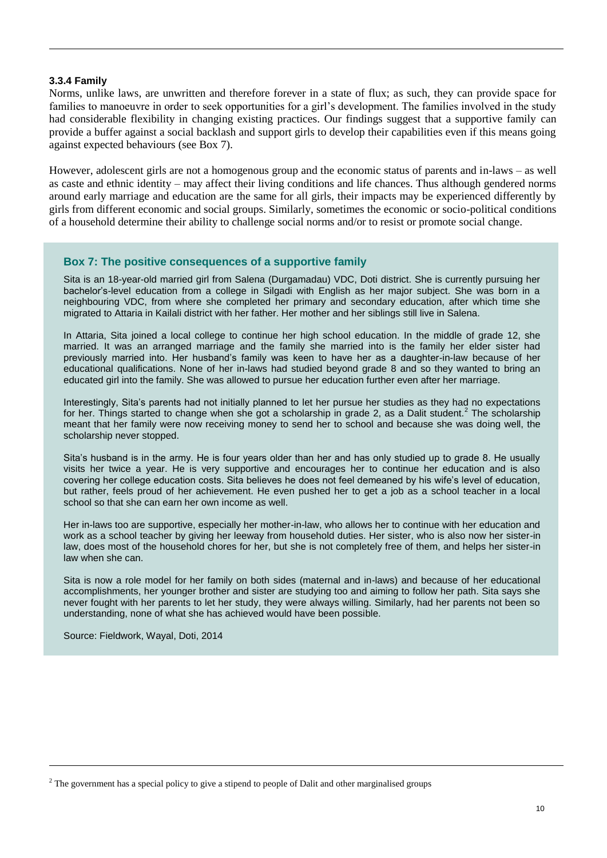#### **3.3.4 Family**

Norms, unlike laws, are unwritten and therefore forever in a state of flux; as such, they can provide space for families to manoeuvre in order to seek opportunities for a girl's development. The families involved in the study had considerable flexibility in changing existing practices. Our findings suggest that a supportive family can provide a buffer against a social backlash and support girls to develop their capabilities even if this means going against expected behaviours (see Box 7).

However, adolescent girls are not a homogenous group and the economic status of parents and in-laws – as well as caste and ethnic identity – may affect their living conditions and life chances. Thus although gendered norms around early marriage and education are the same for all girls, their impacts may be experienced differently by girls from different economic and social groups. Similarly, sometimes the economic or socio-political conditions of a household determine their ability to challenge social norms and/or to resist or promote social change.

#### **Box 7: The positive consequences of a supportive family**

Sita is an 18-year-old married girl from Salena (Durgamadau) VDC, Doti district. She is currently pursuing her bachelor's-level education from a college in Silgadi with English as her major subject. She was born in a neighbouring VDC, from where she completed her primary and secondary education, after which time she migrated to Attaria in Kailali district with her father. Her mother and her siblings still live in Salena.

In Attaria, Sita joined a local college to continue her high school education. In the middle of grade 12, she married. It was an arranged marriage and the family she married into is the family her elder sister had previously married into. Her husband's family was keen to have her as a daughter-in-law because of her educational qualifications. None of her in-laws had studied beyond grade 8 and so they wanted to bring an educated girl into the family. She was allowed to pursue her education further even after her marriage.

Interestingly, Sita's parents had not initially planned to let her pursue her studies as they had no expectations for her. Things started to change when she got a scholarship in grade 2, as a Dalit student.<sup>2</sup> The scholarship meant that her family were now receiving money to send her to school and because she was doing well, the scholarship never stopped.

Sita's husband is in the army. He is four years older than her and has only studied up to grade 8. He usually visits her twice a year. He is very supportive and encourages her to continue her education and is also covering her college education costs. Sita believes he does not feel demeaned by his wife's level of education, but rather, feels proud of her achievement. He even pushed her to get a job as a school teacher in a local school so that she can earn her own income as well.

Her in-laws too are supportive, especially her mother-in-law, who allows her to continue with her education and work as a school teacher by giving her leeway from household duties. Her sister, who is also now her sister-in law, does most of the household chores for her, but she is not completely free of them, and helps her sister-in law when she can.

Sita is now a role model for her family on both sides (maternal and in-laws) and because of her educational accomplishments, her younger brother and sister are studying too and aiming to follow her path. Sita says she never fought with her parents to let her study, they were always willing. Similarly, had her parents not been so understanding, none of what she has achieved would have been possible.

Source: Fieldwork, Wayal, Doti, 2014

<sup>&</sup>lt;sup>2</sup> The government has a special policy to give a stipend to people of Dalit and other marginalised groups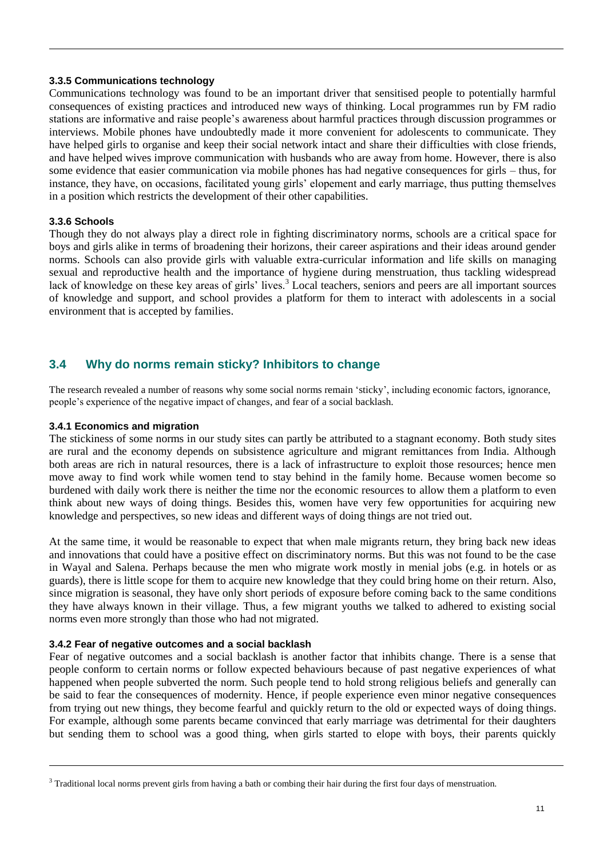#### **3.3.5 Communications technology**

Communications technology was found to be an important driver that sensitised people to potentially harmful consequences of existing practices and introduced new ways of thinking. Local programmes run by FM radio stations are informative and raise people's awareness about harmful practices through discussion programmes or interviews. Mobile phones have undoubtedly made it more convenient for adolescents to communicate. They have helped girls to organise and keep their social network intact and share their difficulties with close friends, and have helped wives improve communication with husbands who are away from home. However, there is also some evidence that easier communication via mobile phones has had negative consequences for girls – thus, for instance, they have, on occasions, facilitated young girls' elopement and early marriage, thus putting themselves in a position which restricts the development of their other capabilities.

#### **3.3.6 Schools**

Though they do not always play a direct role in fighting discriminatory norms, schools are a critical space for boys and girls alike in terms of broadening their horizons, their career aspirations and their ideas around gender norms. Schools can also provide girls with valuable extra-curricular information and life skills on managing sexual and reproductive health and the importance of hygiene during menstruation, thus tackling widespread lack of knowledge on these key areas of girls' lives.<sup>3</sup> Local teachers, seniors and peers are all important sources of knowledge and support, and school provides a platform for them to interact with adolescents in a social environment that is accepted by families.

#### **3.4 Why do norms remain sticky? Inhibitors to change**

The research revealed a number of reasons why some social norms remain 'sticky', including economic factors, ignorance, people's experience of the negative impact of changes, and fear of a social backlash.

#### **3.4.1 Economics and migration**

The stickiness of some norms in our study sites can partly be attributed to a stagnant economy. Both study sites are rural and the economy depends on subsistence agriculture and migrant remittances from India. Although both areas are rich in natural resources, there is a lack of infrastructure to exploit those resources; hence men move away to find work while women tend to stay behind in the family home. Because women become so burdened with daily work there is neither the time nor the economic resources to allow them a platform to even think about new ways of doing things. Besides this, women have very few opportunities for acquiring new knowledge and perspectives, so new ideas and different ways of doing things are not tried out.

At the same time, it would be reasonable to expect that when male migrants return, they bring back new ideas and innovations that could have a positive effect on discriminatory norms. But this was not found to be the case in Wayal and Salena. Perhaps because the men who migrate work mostly in menial jobs (e.g. in hotels or as guards), there is little scope for them to acquire new knowledge that they could bring home on their return. Also, since migration is seasonal, they have only short periods of exposure before coming back to the same conditions they have always known in their village. Thus, a few migrant youths we talked to adhered to existing social norms even more strongly than those who had not migrated.

#### **3.4.2 Fear of negative outcomes and a social backlash**

Fear of negative outcomes and a social backlash is another factor that inhibits change. There is a sense that people conform to certain norms or follow expected behaviours because of past negative experiences of what happened when people subverted the norm. Such people tend to hold strong religious beliefs and generally can be said to fear the consequences of modernity. Hence, if people experience even minor negative consequences from trying out new things, they become fearful and quickly return to the old or expected ways of doing things. For example, although some parents became convinced that early marriage was detrimental for their daughters but sending them to school was a good thing, when girls started to elope with boys, their parents quickly

<sup>&</sup>lt;sup>3</sup> Traditional local norms prevent girls from having a bath or combing their hair during the first four days of menstruation.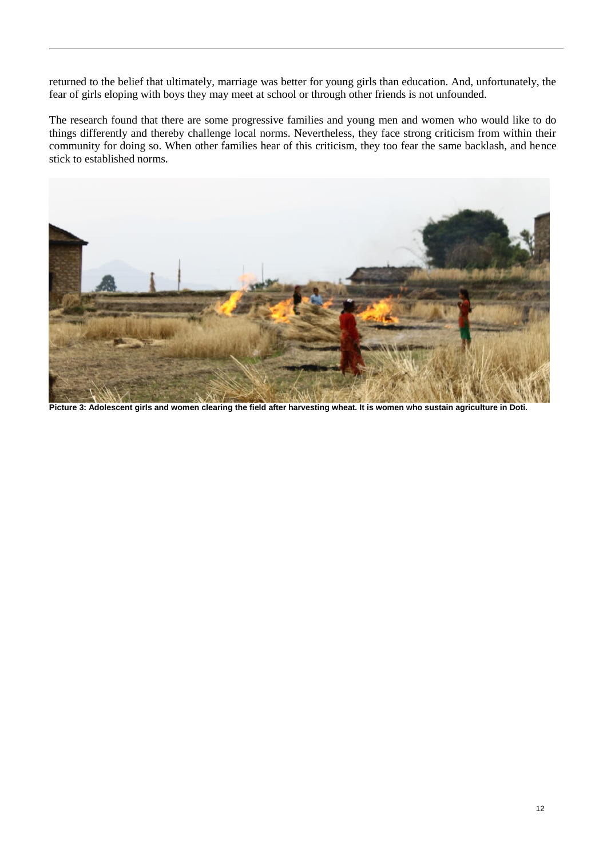returned to the belief that ultimately, marriage was better for young girls than education. And, unfortunately, the fear of girls eloping with boys they may meet at school or through other friends is not unfounded.

The research found that there are some progressive families and young men and women who would like to do things differently and thereby challenge local norms. Nevertheless, they face strong criticism from within their community for doing so. When other families hear of this criticism, they too fear the same backlash, and hence stick to established norms.



**Picture 3: Adolescent girls and women clearing the field after harvesting wheat. It is women who sustain agriculture in Doti.**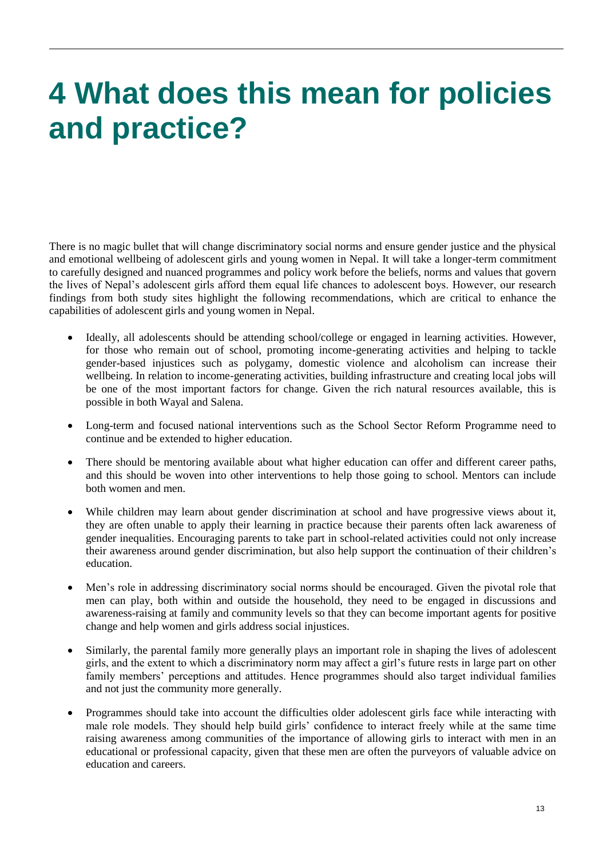## **4 What does this mean for policies and practice?**

There is no magic bullet that will change discriminatory social norms and ensure gender justice and the physical and emotional wellbeing of adolescent girls and young women in Nepal. It will take a longer-term commitment to carefully designed and nuanced programmes and policy work before the beliefs, norms and values that govern the lives of Nepal's adolescent girls afford them equal life chances to adolescent boys. However, our research findings from both study sites highlight the following recommendations, which are critical to enhance the capabilities of adolescent girls and young women in Nepal.

- Ideally, all adolescents should be attending school/college or engaged in learning activities. However, for those who remain out of school, promoting income-generating activities and helping to tackle gender-based injustices such as polygamy, domestic violence and alcoholism can increase their wellbeing. In relation to income-generating activities, building infrastructure and creating local jobs will be one of the most important factors for change. Given the rich natural resources available, this is possible in both Wayal and Salena.
- Long-term and focused national interventions such as the School Sector Reform Programme need to continue and be extended to higher education.
- There should be mentoring available about what higher education can offer and different career paths, and this should be woven into other interventions to help those going to school. Mentors can include both women and men.
- While children may learn about gender discrimination at school and have progressive views about it, they are often unable to apply their learning in practice because their parents often lack awareness of gender inequalities. Encouraging parents to take part in school-related activities could not only increase their awareness around gender discrimination, but also help support the continuation of their children's education.
- Men's role in addressing discriminatory social norms should be encouraged. Given the pivotal role that men can play, both within and outside the household, they need to be engaged in discussions and awareness-raising at family and community levels so that they can become important agents for positive change and help women and girls address social injustices.
- Similarly, the parental family more generally plays an important role in shaping the lives of adolescent girls, and the extent to which a discriminatory norm may affect a girl's future rests in large part on other family members' perceptions and attitudes. Hence programmes should also target individual families and not just the community more generally.
- Programmes should take into account the difficulties older adolescent girls face while interacting with male role models. They should help build girls' confidence to interact freely while at the same time raising awareness among communities of the importance of allowing girls to interact with men in an educational or professional capacity, given that these men are often the purveyors of valuable advice on education and careers.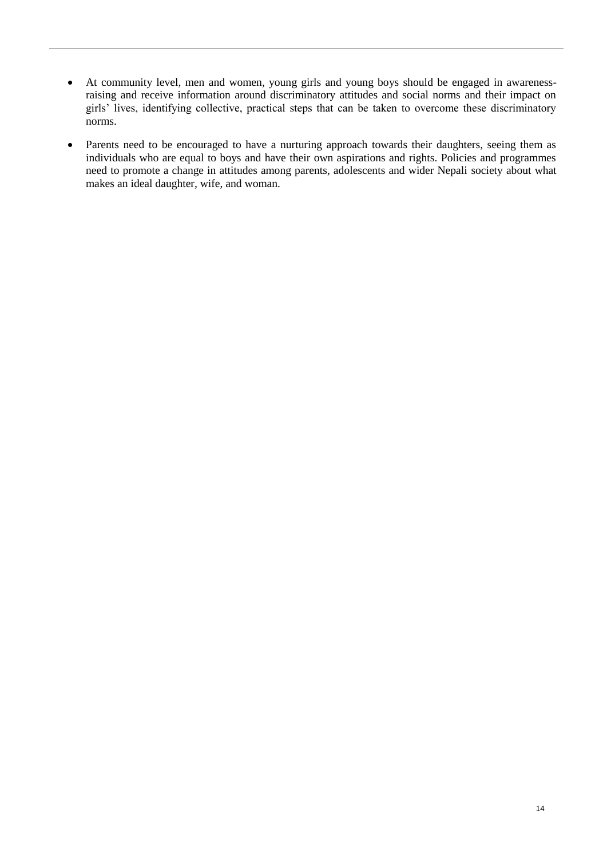- At community level, men and women, young girls and young boys should be engaged in awarenessraising and receive information around discriminatory attitudes and social norms and their impact on girls' lives, identifying collective, practical steps that can be taken to overcome these discriminatory norms.
- Parents need to be encouraged to have a nurturing approach towards their daughters, seeing them as individuals who are equal to boys and have their own aspirations and rights. Policies and programmes need to promote a change in attitudes among parents, adolescents and wider Nepali society about what makes an ideal daughter, wife, and woman.